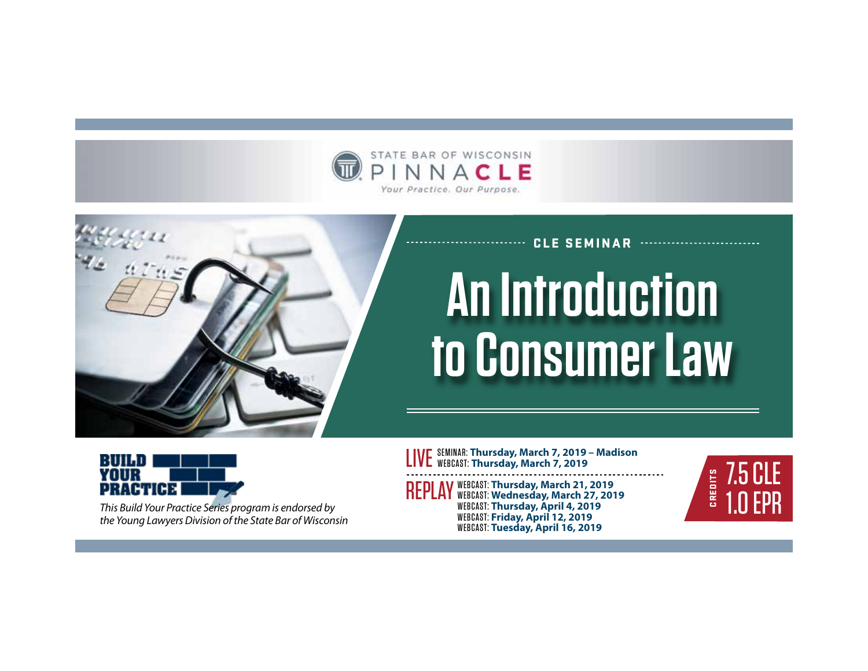



# CLE SEMINAR **An Introduction to Consumer Law**



*This Build Your Practice Series program is endorsed by the Young Lawyers Division of the State Bar of Wisconsin* LIVE SEMINAR: **Thursday, March 7, 2019 – Madison**  WEBCAST: **Thursday, March 7, 2019**

REPLAY WEBCAST: **Thursday, March 21, 2019** WEBCAST: **Wednesday, March 27, 2019** WEBCAST: **Thursday, April 4, 2019** WEBCAST: **Friday, April 12, 2019** WEBCAST: **Tuesday, April 16, 2019**

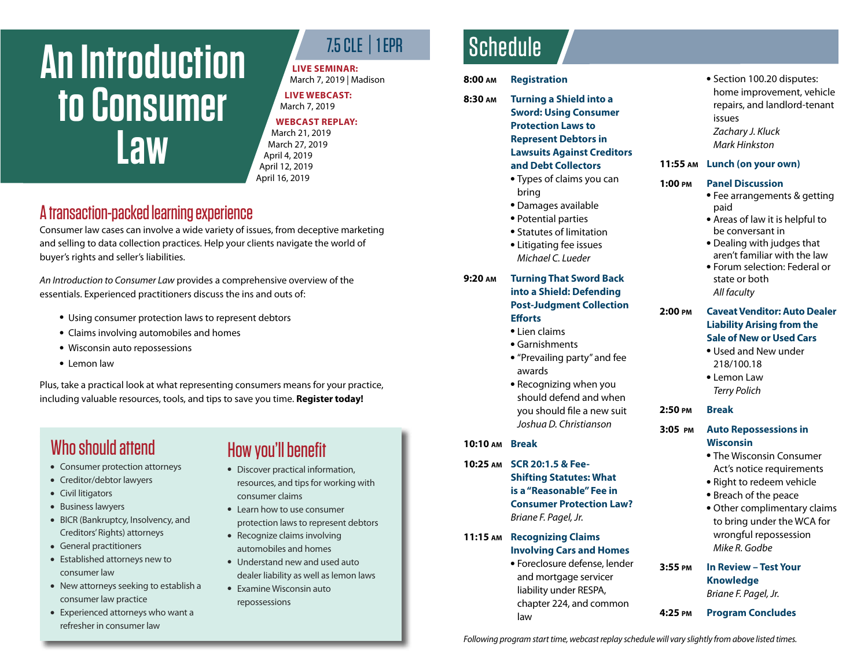# **An Introduction to Consumer Law**

## 7.5 CLE | 1 EPR

**LIVE SEMINAR:** 

March 7, 2019 | Madison **LIVE WEBCAST:** 

## March 7, 2019

#### **WEBCAST REPLAY:**

March 21, 2019 March 27, 2019 April 4, 2019 April 12, 2019 April 16, 2019

## A transaction-packed learning experience

Consumer law cases can involve a wide variety of issues, from deceptive marketing and selling to data collection practices. Help your clients navigate the world of buyer's rights and seller's liabilities.

*An Introduction to Consumer Law* provides a comprehensive overview of the essentials. Experienced practitioners discuss the ins and outs of:

- Using consumer protection laws to represent debtors
- Claims involving automobiles and homes
- Wisconsin auto repossessions
- Lemon law

Plus, take a practical look at what representing consumers means for your practice, including valuable resources, tools, and tips to save you time. **Register today!**

# Who should attend

- Consumer protection attorneys
- Creditor/debtor lawyers
- Civil litigators
- Business lawyers
- BICR (Bankruptcy, Insolvency, and Creditors' Rights) attorneys
- General practitioners
- Established attorneys new to consumer law
- $\bullet$  New attorneys seeking to establish a consumer law practice
- Experienced attorneys who want a refresher in consumer law

# How you'll benefit

- Discover practical information, resources, and tips for working with consumer claims
- Learn how to use consumer protection laws to represent debtors
- $\bullet$  Recognize claims involving automobiles and homes
- Understand new and used auto dealer liability as well as lemon laws
- Examine Wisconsin auto repossessions

# **Schedule**

### **8:00 am Registration**

- **8:30 am Turning a Shield into a Sword: Using Consumer Protection Laws to Represent Debtors in Lawsuits Against Creditors and Debt Collectors**
	- Types of claims you can bring
	- Damages available
	- Potential parties
	- Statutes of limitation
	- Litigating fee issues *Michael C. Lueder*

### **9:20 am Turning That Sword Back into a Shield: Defending Post-Judgment Collection Efforts**

- Lien claims
- $\bullet$  Garnishments
- "Prevailing party" and fee awards
- Recognizing when you should defend and when you should file a new suit *Joshua D. Christianson*

### **10:10 am Break**

- **10:25 am SCR 20:1.5 & Fee-Shifting Statutes: What is a "Reasonable" Fee in Consumer Protection Law?** *Briane F. Pagel, Jr.*
- **11:15 am Recognizing Claims Involving Cars and Homes**
	- Foreclosure defense, lender and mortgage servicer liability under RESPA, chapter 224, and common law

• Section 100.20 disputes: home improvement, vehicle repairs, and landlord-tenant issues *Zachary J. Kluck Mark Hinkston*

#### **11:55 am Lunch (on your own)**

#### **1:00 pm Panel Discussion**

- Fee arrangements & getting paid
- Areas of law it is helpful to be conversant in
- Dealing with judges that aren't familiar with the law
- **.** Forum selection: Federal or state or both *All faculty*

#### **2:00 pm Caveat Venditor: Auto Dealer Liability Arising from the Sale of New or Used Cars**

- Used and New under 218/100.18
- Lemon Law *Terry Polich*

### **2:50 pm Break**

#### **3:05 pm Auto Repossessions in Wisconsin**

- The Wisconsin Consumer Act's notice requirements
- Right to redeem vehicle
- Breach of the peace
- Other complimentary claims to bring under the WCA for wrongful repossession *Mike R. Godbe*
- **3:55 pm In Review Test Your Knowledge**  *Briane F. Pagel, Jr.*
- **4:25 pm Program Concludes**

*Following program start time, webcast replay schedule will vary slightly from above listed times.*

- -
	-
	-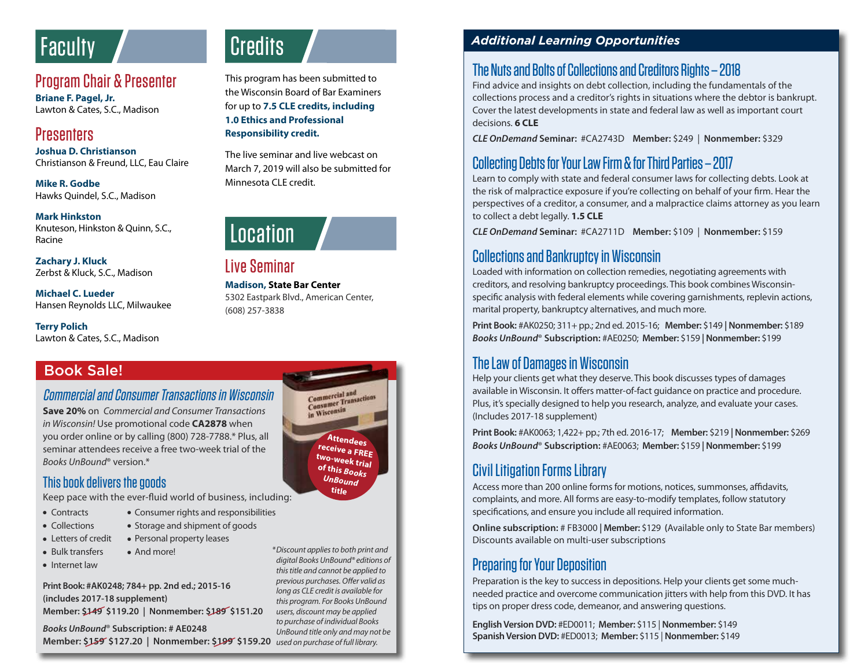# **Faculty Credits**

## Program Chair & Presenter

**Briane F. Pagel, Jr.** Lawton & Cates, S.C., Madison

## **Presenters**

**Joshua D. Christianson** Christianson & Freund, LLC, Eau Claire

**Mike R. Godbe** Hawks Quindel, S.C., Madison

#### **Mark Hinkston**

Knuteson, Hinkston & Quinn, S.C., Racine

**Zachary J. Kluck** Zerbst & Kluck, S.C., Madison

**Michael C. Lueder** Hansen Reynolds LLC, Milwaukee

**Terry Polich** Lawton & Cates, S.C., Madison

## Book Sale!

## Commercial and Consumer Transactions in Wisconsin

**Save 20%** on *Commercial and Consumer Transactions in Wisconsin!* Use promotional code **CA2878** when you order online or by calling (800) 728-7788.\* Plus, all seminar attendees receive a free two-week trial of the *Books UnBound*® version.\*

## This book delivers the goods

Keep pace with the ever-fluid world of business, including:

- Contracts Consumer rights and responsibilities
- 
- Collections Storage and shipment of goods
- Letters of credit Personal property leases
- Bulk transfers And more!

• Internet law

**Print Book: #AK0248; 784+ pp. 2nd ed.; 2015-16 (includes 2017-18 supplement) Member: \$149 \$119.20 | Nonmember: \$189 \$151.20**

*Books UnBound*® **Subscription: # AE0248 Member: \$159 \$127.20 | Nonmember: \$199 \$159.20** *used on purchase of full library. to purchase of individual Books UnBound title only and may not be* 

This program has been submitted to the Wisconsin Board of Bar Examiners for up to **7.5 CLE credits, including 1.0 Ethics and Professional Responsibility credit.**

The live seminar and live webcast on March 7, 2019 will also be submitted for Minnesota CLE credit.



Live Seminar

**Madison, State Bar Center**  5302 Eastpark Blvd., American Center, (608) 257-3838

#### Commercial and Commercial and<br>Consumer Transactions in Wisconsin **Attendees receive a FREE two-week trial of this** *Books UnBound* **title**

*\*Discount applies to both print and digital Books UnBound® editions of this title and cannot be applied to previous purchases. Offer valid as long as CLE credit is available for this program. For Books UnBound users, discount may be applied* 

## *Additional Learning Opportunities*

## The Nuts and Bolts of Collections and Creditors Rights – 2018

Find advice and insights on debt collection, including the fundamentals of the collections process and a creditor's rights in situations where the debtor is bankrupt. Cover the latest developments in state and federal law as well as important court decisions. **6 CLE**

*CLE OnDemand* **Seminar:** #CA2743D **Member:** \$249 | **Nonmember:** \$329

## Collecting Debts for Your Law Firm & for Third Parties – 2017

Learn to comply with state and federal consumer laws for collecting debts. Look at the risk of malpractice exposure if you're collecting on behalf of your firm. Hear the perspectives of a creditor, a consumer, and a malpractice claims attorney as you learn to collect a debt legally. **1.5 CLE**

*CLE OnDemand* **Seminar:** #CA2711D **Member:** \$109 | **Nonmember:** \$159

## Collections and Bankruptcy in Wisconsin

Loaded with information on collection remedies, negotiating agreements with creditors, and resolving bankruptcy proceedings. This book combines Wisconsinspecific analysis with federal elements while covering garnishments, replevin actions, marital property, bankruptcy alternatives, and much more.

**Print Book:** #AK0250; 311+ pp.; 2nd ed. 2015-16; **Member:** \$149 **| Nonmember:** \$189 *Books UnBound*® **Subscription:** #AE0250; **Member:** \$159 **| Nonmember:** \$199

## The Law of Damages in Wisconsin

Help your clients get what they deserve. This book discusses types of damages available in Wisconsin. It offers matter-of-fact guidance on practice and procedure. Plus, it's specially designed to help you research, analyze, and evaluate your cases. (Includes 2017-18 supplement)

**Print Book:** #AK0063; 1,422+ pp.; 7th ed. 2016-17; **Member:** \$219 **| Nonmember:** \$269 *Books UnBound*® **Subscription:** #AE0063; **Member:** \$159 **| Nonmember:** \$199

## Civil Litigation Forms Library

Access more than 200 online forms for motions, notices, summonses, affidavits, complaints, and more. All forms are easy-to-modify templates, follow statutory specifications, and ensure you include all required information.

**Online subscription:** # FB3000 **| Member:** \$129 **(**Available only to State Bar members) Discounts available on multi-user subscriptions

## Preparing for Your Deposition

Preparation is the key to success in depositions. Help your clients get some muchneeded practice and overcome communication jitters with help from this DVD. It has tips on proper dress code, demeanor, and answering questions.

**English Version DVD:** #ED0011; **Member:** \$115 | **Nonmember:** \$149 **Spanish Version DVD:** #ED0013; **Member:** \$115 | **Nonmember:** \$149